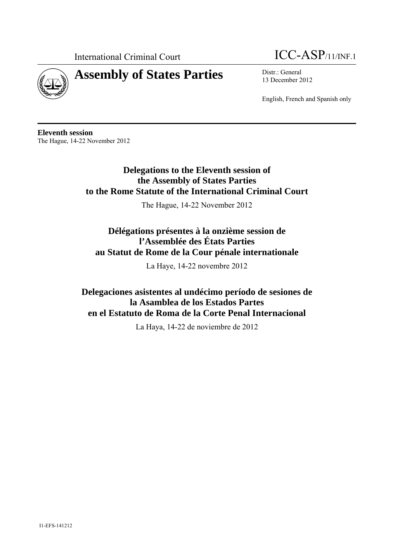

# **Assembly of States Parties** Distr.: General



13 December 2012

English, French and Spanish only

**Eleventh session**  The Hague, 14-22 November 2012

> **Delegations to the Eleventh session of the Assembly of States Parties to the Rome Statute of the International Criminal Court**

> > The Hague, 14-22 November 2012

# **Délégations présentes à la onzième session de l'Assemblée des États Parties au Statut de Rome de la Cour pénale internationale**

La Haye, 14-22 novembre 2012

**Delegaciones asistentes al undécimo período de sesiones de la Asamblea de los Estados Partes en el Estatuto de Roma de la Corte Penal Internacional** 

La Haya, 14-22 de noviembre de 2012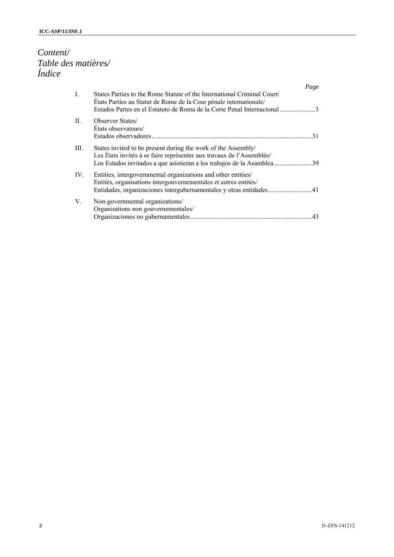# *Content/ Table des matières/ Índice*

|                |                                                                                                                                                                                                        | Page |
|----------------|--------------------------------------------------------------------------------------------------------------------------------------------------------------------------------------------------------|------|
| $\mathbf{I}$ . | States Parties to the Rome Statute of the International Criminal Court<br>États Parties au Statut de Rome de la Cour pénale internationale/                                                            |      |
| H.             | <b>Observer States</b><br>Etats observateurs/                                                                                                                                                          | 31   |
| III.           | States invited to be present during the work of the Assembly/<br>Les États invités à se faire représenter aux travaux de l'Assemblée/                                                                  |      |
| IV.            | Entities, intergovernmental organizations and other entities/<br>Entités, organisations intergouvernementales et autres entités/<br>Entidades, organizaciones intergubernamentales y otras entidades41 |      |
| V.             | Non-governmental organizations/<br>Organisations non gouvernementales/                                                                                                                                 | 43   |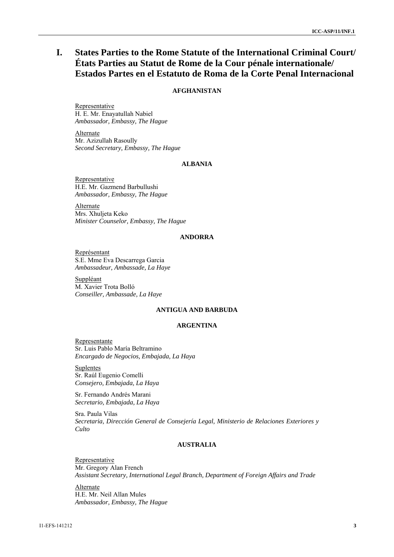# **I. States Parties to the Rome Statute of the International Criminal Court/ États Parties au Statut de Rome de la Cour pénale internationale/ Estados Partes en el Estatuto de Roma de la Corte Penal Internacional**

# **AFGHANISTAN**

Representative H. E. Mr. Enayatullah Nabiel *Ambassador, Embassy, The Hague* 

Alternate Mr. Azizullah Rasoully *Second Secretary, Embassy, The Hague* 

# **ALBANIA**

**Representative** H.E. Mr. Gazmend Barbullushi *Ambassador, Embassy, The Hague* 

Alternate Mrs. Xhuljeta Keko *Minister Counselor, Embassy, The Hague* 

# **ANDORRA**

Représentant S.E. Mme Eva Descarrega Garcia *Ambassadeur, Ambassade, La Haye* 

Suppléant M. Xavier Trota Bolló *Conseiller, Ambassade, La Haye* 

# **ANTIGUA AND BARBUDA**

### **ARGENTINA**

Representante Sr. Luis Pablo María Beltramino *Encargado de Negocios, Embajada, La Haya* 

**Suplentes** Sr. Raúl Eugenio Comelli *Consejero, Embajada, La Haya*

Sr. Fernando Andrés Marani *Secretario, Embajada, La Haya* 

Sra. Paula Vilas *Secretaria, Dirección General de Consejería Legal, Ministerio de Relaciones Exteriores y Culto*

# **AUSTRALIA**

Representative Mr. Gregory Alan French *Assistant Secretary, International Legal Branch, Department of Foreign Affairs and Trade* 

Alternate H.E. Mr. Neil Allan Mules *Ambassador, Embassy, The Hague*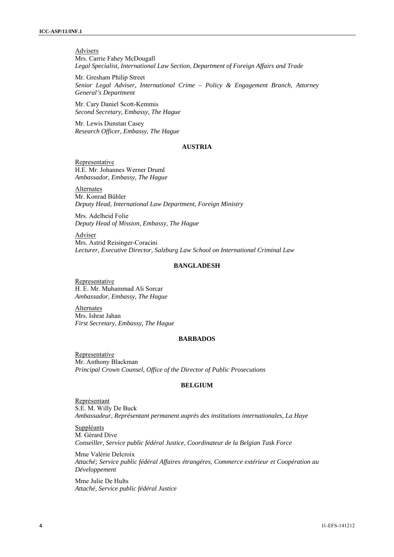Advisers Mrs. Carrie Fahey McDougall *Legal Specialist, International Law Section, Department of Foreign Affairs and Trade*

Mr. Gresham Philip Street *Senior Legal Adviser, International Crime – Policy & Engagement Branch, Attorney General's Department*

Mr. Cary Daniel Scott-Kemmis *Second Secretary, Embassy, The Hague*

Mr. Lewis Dunstan Casey *Research Officer, Embassy, The Hague* 

#### **AUSTRIA**

Representative H.E. Mr. Johannes Werner Druml *Ambassador, Embassy, The Hague* 

Alternates Mr. Konrad Bühler *Deputy Head, International Law Department, Foreign Ministry* 

Mrs. Adelheid Folie *Deputy Head of Mission, Embassy, The Hague* 

Adviser Mrs. Astrid Reisinger-Coracini *Lecturer, Executive Director, Salzburg Law School on International Criminal Law* 

### **BANGLADESH**

Representative H. E. Mr. Muhammad Ali Sorcar *Ambassador, Embassy, The Hague* 

Alternates Mrs. Ishrat Jahan *First Secretary, Embassy, The Hague*

### **BARBADOS**

Representative Mr. Anthony Blackman *Principal Crown Counsel, Office of the Director of Public Prosecutions* 

### **BELGIUM**

Représentant S.E. M. Willy De Buck *Ambassadeur, Représentant permanent auprès des institutions internationales, La Haye* 

Suppléants M. Gérard Dive *Conseiller, Service public fédéral Justice, Coordinateur de la Belgian Task Force* 

Mme Valérie Delcroix *Attaché; Service public fédéral Affaires étrangéres, Commerce extérieur et Coopération au Développement* 

Mme Julie De Hults *Attaché, Service public fédéral Justice*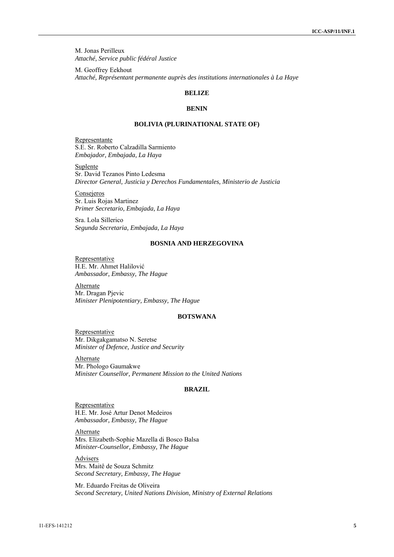M. Jonas Perilleux *Attaché, Service public fédéral Justice* 

M. Geoffrey Eekhout *Attaché, Représentant permanente auprès des institutions internationales à La Haye* 

# **BELIZE**

### **BENIN**

#### **BOLIVIA (PLURINATIONAL STATE OF)**

Representante S.E. Sr. Roberto Calzadilla Sarmiento *Embajador, Embajada, La Haya* 

Suplente Sr. David Tezanos Pinto Ledesma *Director General, Justicia y Derechos Fundamentales, Ministerio de Justicia*

Consejeros Sr. Luis Rojas Martinez *Primer Secretario, Embajada, La Haya* 

Sra. Lola Sillerico *Segunda Secretaria, Embajada, La Haya* 

# **BOSNIA AND HERZEGOVINA**

Representative H.E. Mr. Ahmet Halilović *Ambassador, Embassy, The Hague*

Alternate Mr. Dragan Pjevic *Minister Plenipotentiary, Embassy, The Hague*

# **BOTSWANA**

Representative Mr. Dikgakgamatso N. Seretse *Minister of Defence, Justice and Security* 

**Alternate** Mr. Phologo Gaumakwe *Minister Counsellor, Permanent Mission to the United Nations*

### **BRAZIL**

**Representative** H.E. Mr. José Artur Denot Medeiros *Ambassador, Embassy, The Hague* 

Alternate Mrs. Elizabeth-Sophie Mazella di Bosco Balsa *Minister-Counsellor, Embassy, The Hague*

Advisers Mrs. Maitê de Souza Schmitz *Second Secretary, Embassy, The Hague* 

Mr. Eduardo Freitas de Oliveira *Second Secretary, United Nations Division, Ministry of External Relations*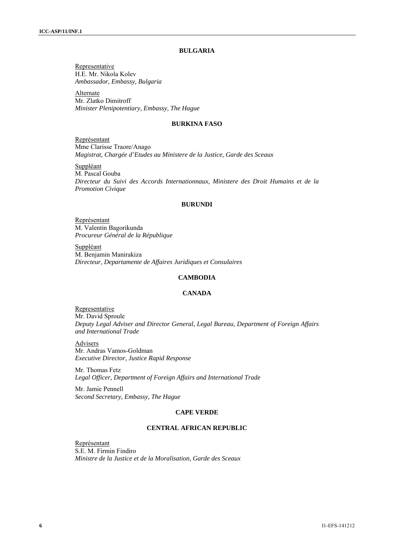### **BULGARIA**

Representative H.E. Mr. Nikola Kolev *Ambassador, Embassy, Bulgaria* 

Alternate Mr. Zlatko Dimitroff *Minister Plenipotentiary, Embassy, The Hague* 

### **BURKINA FASO**

Représentant Mme Clarisse Traore/Anago *Magistrat, Chargée d'Etudes au Ministere de la Justice, Garde des Sceaux*

**Suppléant** M. Pascal Gouba *Directeur du Suivi des Accords Internationnaux, Ministere des Droit Humains et de la Promotion Civique* 

#### **BURUNDI**

Représentant M. Valentin Bagorikunda *Procureur Général de la République*

Suppléant M. Benjamin Manirakiza *Directeur, Departamente de Affaires Juridiques et Consulaires* 

## **CAMBODIA**

# **CANADA**

Representative Mr. David Sproule *Deputy Legal Adviser and Director General, Legal Bureau, Department of Foreign Affairs and International Trade* 

Advisers Mr. Andras Vamos-Goldman *Executive Director, Justice Rapid Response* 

Mr. Thomas Fetz *Legal Officer, Department of Foreign Affairs and International Trade* 

Mr. Jamie Pennell *Second Secretary, Embassy, The Hague*

### **CAPE VERDE**

### **CENTRAL AFRICAN REPUBLIC**

Représentant S.E. M. Firmin Findiro *Ministre de la Justice et de la Moralisation, Garde des Sceaux*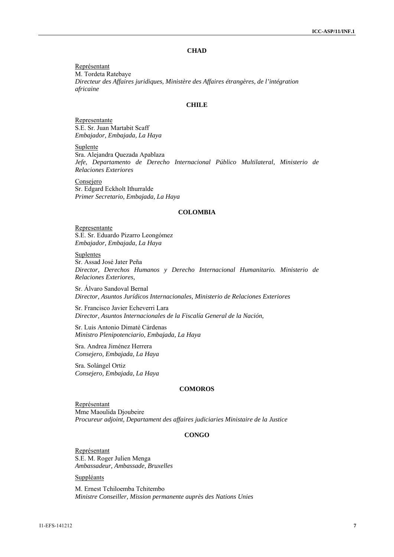# **CHAD**

Représentant M. Tordeta Ratebaye *Directeur des Affaires juridiques, Ministère des Affaires étrangères, de l'intégration africaine* 

# **CHILE**

Representante S.E. Sr. Juan Martabit Scaff *Embajador, Embajada, La Haya* 

Suplente Sra. Alejandra Quezada Apablaza *Jefe, Departamento de Derecho Internacional Público Multilateral, Ministerio de Relaciones Exteriores* 

Consejero Sr. Edgard Eckholt Ithurralde *Primer Secretario, Embajada, La Haya* 

### **COLOMBIA**

Representante S.E. Sr. Eduardo Pizarro Leongómez *Embajador, Embajada, La Haya* 

Suplentes Sr. Assad José Jater Peña *Director, Derechos Humanos y Derecho Internacional Humanitario. Ministerio de Relaciones Exteriores,* 

Sr. Álvaro Sandoval Bernal *Director, Asuntos Jurídicos Internacionales, Ministerio de Relaciones Exteriores* 

Sr. Francisco Javier Echeverri Lara *Director, Asuntos Internacionales de la Fiscalía General de la Nación,* 

Sr. Luis Antonio Dimaté Cárdenas *Ministro Plenipotenciario, Embajada, La Haya* 

Sra. Andrea Jiménez Herrera *Consejero, Embajada, La Haya* 

Sra. Solángel Ortiz *Consejero, Embajada, La Haya* 

# **COMOROS**

Représentant Mme Maoulida Djoubeire *Procureur adjoint, Departament des affaires judiciaries Ministaire de la Justice*

# **CONGO**

Représentant S.E. M. Roger Julien Menga *Ambassadeur, Ambassade, Bruxelles* 

Suppléants

M. Ernest Tchiloemba Tchitembo *Ministre Conseiller, Mission permanente auprès des Nations Unies*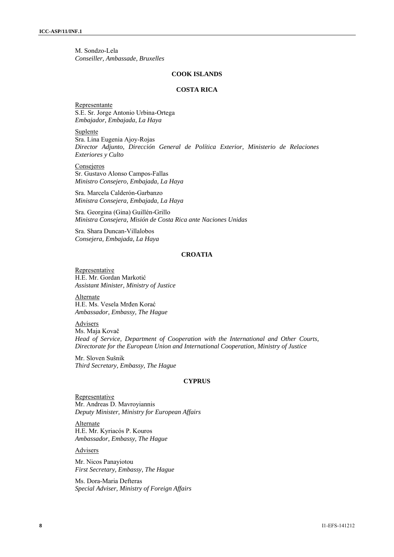M. Sondzo-Lela *Conseiller, Ambassade, Bruxelles*

#### **COOK ISLANDS**

# **COSTA RICA**

## Representante S.E. Sr. Jorge Antonio Urbina-Ortega *Embajador, Embajada, La Haya*

Suplente Sra. Lina Eugenia Ajoy-Rojas *Director Adjunto, Dirección General de Política Exterior, Ministerio de Relaciones Exteriores y Culto*

**Consejeros** Sr. Gustavo Alonso Campos-Fallas *Ministro Consejero, Embajada, La Haya*

Sra. Marcela Calderón-Garbanzo *Ministra Consejera, Embajada, La Haya*

Sra. Georgina (Gina) Guillén-Grillo *Ministra Consejera, Misión de Costa Rica ante Naciones Unidas* 

Sra. Shara Duncan-Villalobos *Consejera, Embajada, La Haya* 

# **CROATIA**

**Representative** H.E. Mr. Gordan Markotić *Assistant Minister, Ministry of Justice* 

Alternate H.E. Ms. Vesela Mrđen Korać *Ambassador, Embassy, The Hague* 

### **Advisers**

Ms. Maja Kovač *Head of Service, Department of Cooperation with the International and Other Courts, Directorate for the European Union and International Cooperation, Ministry of Justice* 

Mr. Sloven Sušnik *Third Secretary, Embassy, The Hague* 

### **CYPRUS**

Representative Mr. Andreas D. Mavroyiannis *Deputy Minister, Ministry for European Affairs* 

Alternate H.E. Mr. Kyriacós P. Kouros *Ambassador, Embassy, The Hague* 

Advisers

Mr. Nicos Panayiotou *First Secretary, Embassy, The Hague* 

Ms. Dora-Maria Defteras *Special Adviser, Ministry of Foreign Affairs*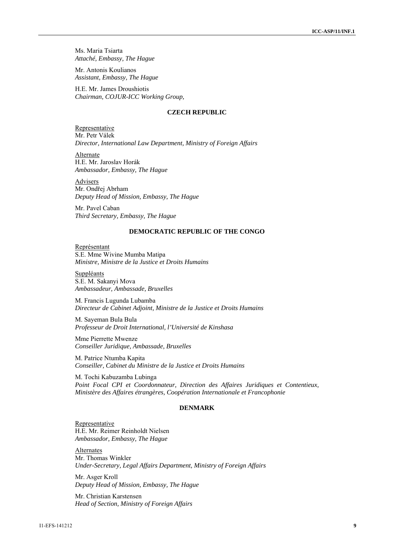Ms. Maria Tsiarta *Attaché, Embassy, The Hague* 

Mr. Antonis Koulianos *Assistant, Embassy, The Hague*

H.E. Mr. James Droushiotis *Chairman, COJUR-ICC Working Group,* 

# **CZECH REPUBLIC**

Representative Mr. Petr Válek *Director, International Law Department, Ministry of Foreign Affairs* 

Alternate H.E. Mr. Jaroslav Horák *Ambassador, Embassy, The Hague* 

Advisers Mr. Ondřej Abrham *Deputy Head of Mission, Embassy, The Hague* 

Mr. Pavel Caban *Third Secretary, Embassy, The Hague* 

# **DEMOCRATIC REPUBLIC OF THE CONGO**

Représentant S.E. Mme Wivine Mumba Matipa *Ministre, Ministre de la Justice et Droits Humains* 

Suppléants S.E. M. Sakanyi Mova *Ambassadeur, Ambassade, Bruxelles* 

M. Francis Lugunda Lubamba *Directeur de Cabinet Adjoint, Ministre de la Justice et Droits Humains* 

M. Sayeman Bula Bula *Professeur de Droit International, l'Université de Kinshasa* 

Mme Pierrette Mwenze *Conseiller Juridique, Ambassade, Bruxelles* 

M. Patrice Ntumba Kapita *Conseiller, Cabinet du Ministre de la Justice et Droits Humains* 

M. Tochi Kabuzamba Lubinga *Point Focal CPI et Coordonnateur, Direction des Affaires Juridiques et Contentieux, Ministère des Affaires étrangères, Coopération Internationale et Francophonie* 

# **DENMARK**

Representative H.E. Mr. Reimer Reinholdt Nielsen *Ambassador, Embassy, The Hague*

Alternates Mr. Thomas Winkler *Under-Secretary, Legal Affairs Department, Ministry of Foreign Affairs*

Mr. Asger Kroll *Deputy Head of Mission, Embassy, The Hague*

Mr. Christian Karstensen *Head of Section, Ministry of Foreign Affairs*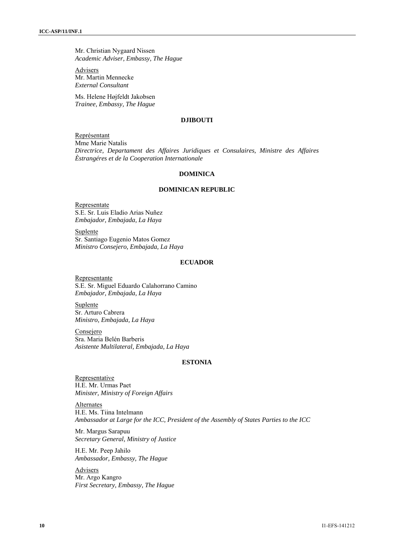Mr. Christian Nygaard Nissen *Academic Adviser, Embassy, The Hague*

Advisers Mr. Martin Mennecke *External Consultant*

Ms. Helene Højfeldt Jakobsen *Trainee, Embassy, The Hague* 

# **DJIBOUTI**

Représentant Mme Marie Natalis *Directrice, Departament des Affaires Juridiques et Consulaires, Ministre des Affaires Èstrangéres et de la Cooperation Internationale* 

#### **DOMINICA**

#### **DOMINICAN REPUBLIC**

**Representate** S.E. Sr. Luis Eladio Arias Nuñez *Embajador, Embajada, La Haya*

Suplente Sr. Santiago Eugenio Matos Gomez *Ministro Consejero, Embajada, La Haya* 

#### **ECUADOR**

Representante S.E. Sr. Miguel Eduardo Calahorrano Camino *Embajador, Embajada, La Haya* 

Suplente Sr. Arturo Cabrera *Ministro, Embajada, La Haya* 

Consejero Sra. Maria Belén Barberis *Asistente Multilateral, Embajada, La Haya* 

# **ESTONIA**

**Representative** H.E. Mr. Urmas Paet *Minister, Ministry of Foreign Affairs* 

**Alternates** H.E. Ms. Tiina Intelmann *Ambassador at Large for the ICC, President of the Assembly of States Parties to the ICC* 

Mr. Margus Sarapuu *Secretary General, Ministry of Justice* 

H.E. Mr. Peep Jahilo *Ambassador, Embassy, The Hague* 

Advisers Mr. Argo Kangro *First Secretary, Embassy, The Hague*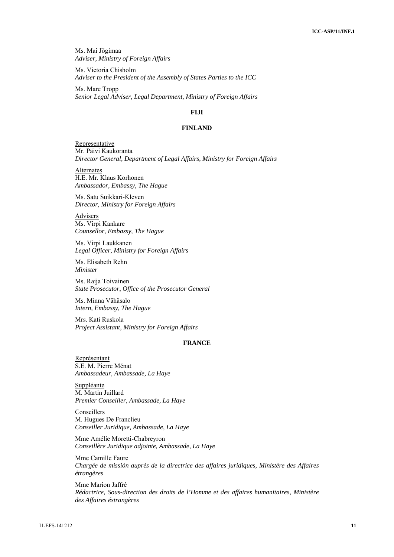Ms. Mai Jõgimaa *Adviser, Ministry of Foreign Affairs*

Ms. Victoria Chisholm *Adviser to the President of the Assembly of States Parties to the ICC* 

Ms. Mare Tropp *Senior Legal Adviser, Legal Department, Ministry of Foreign Affairs* 

# **FIJI**

# **FINLAND**

Representative Mr. Päivi Kaukoranta *Director General, Department of Legal Affairs, Ministry for Foreign Affairs*

**Alternates** H.E. Mr. Klaus Korhonen *Ambassador, Embassy, The Hague*

Ms. Satu Suikkari-Kleven *Director, Ministry for Foreign Affairs*

**Advisers** Ms. Virpi Kankare *Counsellor, Embassy, The Hague*

Ms. Virpi Laukkanen *Legal Officer, Ministry for Foreign Affairs*

Ms. Elisabeth Rehn *Minister*

Ms. Raija Toivainen *State Prosecutor*, *Office of the Prosecutor General*

Ms. Minna Vähäsalo *Intern, Embassy, The Hague* 

Mrs. Kati Ruskola *Project Assistant, Ministry for Foreign Affairs*

# **FRANCE**

Représentant S.E. M. Pierre Ménat *Ambassadeur, Ambassade, La Haye* 

Suppléante M. Martin Juillard *Premier Conseiller, Ambassade, La Haye* 

Conseillers M. Hugues De Franclieu *Conseiller Juridique, Ambassade, La Haye* 

Mme Amélie Moretti-Chabreyron *Conseillère Juridique adjointe, Ambassade, La Haye* 

Mme Camille Faure *Chargée de missión auprès de la directrice des affaires juridiques, Ministère des Affaires étrangères* 

Mme Marion Jaffré *Rédactrice, Sous-direction des droits de l'Homme et des affaires humanitaires, Ministère des Affaires éstrangères*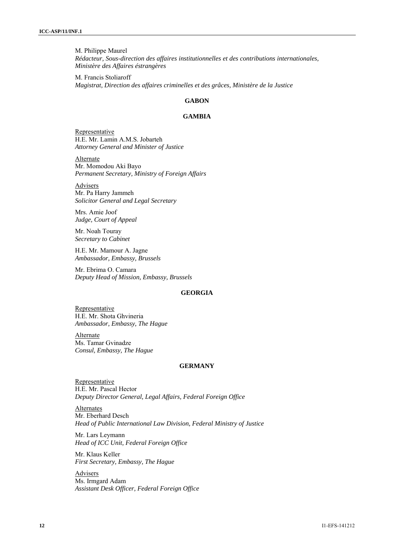M. Philippe Maurel *Rédacteur, Sous-direction des affaires institutionnelles et des contributions internationales, Ministère des Affaires éstrangères* 

M. Francis Stoliaroff *Magistrat, Direction des affaires criminelles et des grâces, Ministère de la Justice* 

# **GABON**

### **GAMBIA**

Representative H.E. Mr. Lamin A.M.S. Jobarteh *Attorney General and Minister of Justice* 

Alternate Mr. Momodou Aki Bayo *Permanent Secretary, Ministry of Foreign Affairs*

Advisers

Mr. Pa Harry Jammeh *Solicitor General and Legal Secretary*

Mrs. Amie Joof *Judge, Court of Appeal*

Mr. Noah Touray *Secretary to Cabinet*

H.E. Mr. Mamour A. Jagne *Ambassador, Embassy, Brussels*

Mr. Ebrima O. Camara *Deputy Head of Mission, Embassy, Brussels*

# **GEORGIA**

Representative H.E. Mr. Shota Ghvineria *Ambassador, Embassy, The Hague*

Alternate Ms. Tamar Gvinadze *Consul, Embassy, The Hague*

# **GERMANY**

Representative H.E. Mr. Pascal Hector *Deputy Director General, Legal Affairs, Federal Foreign Office* 

**Alternates** Mr. Eberhard Desch *Head of Public International Law Division, Federal Ministry of Justice* 

Mr. Lars Leymann *Head of ICC Unit, Federal Foreign Office* 

Mr. Klaus Keller *First Secretary, Embassy, The Hague* 

Advisers Ms. Irmgard Adam *Assistant Desk Officer, Federal Foreign Office*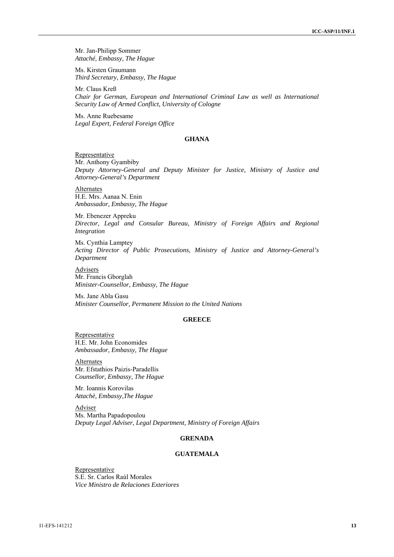Mr. Jan-Philipp Sommer *Attaché, Embassy, The Hague* 

Ms. Kirsten Graumann *Third Secretary, Embassy, The Hague* 

Mr. Claus Kreß *Chair for German, European and International Criminal Law as well as International Security Law of Armed Conflict, University of Cologne* 

Ms. Anne Ruebesame *Legal Expert, Federal Foreign Office* 

### **GHANA**

Representative

Mr. Anthony Gyambiby *Deputy Attorney-General and Deputy Minister for Justice, Ministry of Justice and Attorney-General's Department* 

Alternates H.E. Mrs. Aanaa N. Enin *Ambassador, Embassy, The Hague* 

Mr. Ebenezer Appreku *Director, Legal and Consular Bureau, Ministry of Foreign Affairs and Regional Integration* 

Ms. Cynthia Lamptey *Acting Director of Public Prosecutions, Ministry of Justice and Attorney-General's Department* 

**Advisers** Mr. Francis Gborglah *Minister-Counsellor, Embassy, The Hague* 

Ms. Jane Abla Gasu *Minister Counsellor, Permanent Mission to the United Nations*

# **GREECE**

**Representative** H.E. Mr. John Economides *Ambassador, Embassy, The Hague* 

Alternates Mr. Efstathios Paizis-Paradellis *Counsellor, Embassy, The Hague* 

Mr. Ioannis Korovilas *Attachè, Embassy,The Hague* 

Adviser Ms. Martha Papadopoulou *Deputy Legal Adviser, Legal Department, Ministry of Foreign Affairs* 

### **GRENADA**

# **GUATEMALA**

Representative S.E. Sr. Carlos Raúl Morales *Vice Ministro de Relaciones Exteriores*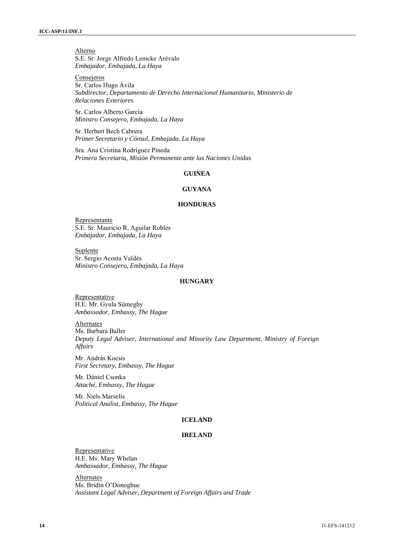Alterno S.E. Sr. Jorge Alfredo Lemcke Arévalo *Embajador, Embajada, La Haya*

**Consejeros** Sr. Carlos Hugo Ávila *Subdirector, Departamento de Derecho Internacional Humanitario, Ministerio de Relaciones Exteriores*

Sr. Carlos Alberto García *Ministro Consejero, Embajada, La Haya* 

Sr. Herbert Bech Cabrera *Primer Secretario y Cónsul, Embajada, La Haya* 

Sra. Ana Cristina Rodríguez Pineda *Primera Secretaria, Misión Permanente ante las Naciones Unidas* 

# **GUINEA**

#### **GUYANA**

#### **HONDURAS**

Representante S.E. Sr. Mauricio R. Aguilar Robles *Embajador, Embajada, La Haya* 

**Suplente** Sr. Sergio Acosta Valdés *Ministro Consejero, Embajada, La Haya* 

# **HUNGARY**

**Representative** H.E. Mr. Gyula Sümeghy *Ambassador, Embassy, The Hague*

Alternates

Ms. Barbara Baller *Deputy Legal Adviser, International and Minority Law Department, Ministry of Foreign Affairs* 

Mr. András Kocsis *First Secretary, Embassy, The Hague*

Mr. Dániel Csonka *Attaché, Embassy, The Hague*

Mr. Niels Marselis *Political Analist, Embassy, The Hague* 

#### **ICELAND**

### **IRELAND**

Representative H.E. Ms. Mary Whelan *Ambassador, Embassy, The Hague* 

Alternates Ms. Brídín O'Donoghue *Assistant Legal Adviser, Department of Foreign Affairs and Trade*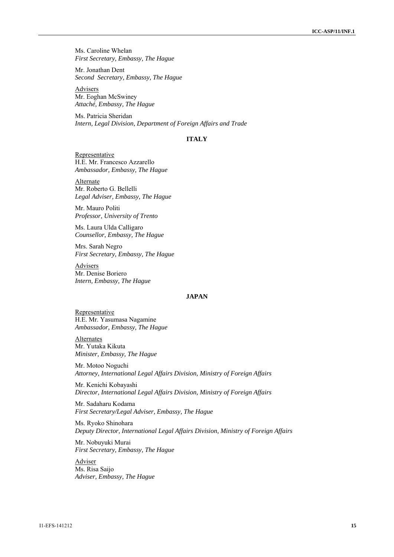Ms. Caroline Whelan *First Secretary, Embassy, The Hague* 

Mr. Jonathan Dent *Second Secretary, Embassy, The Hague* 

Advisers Mr. Eoghan McSwiney *Attaché, Embassy, The Hague* 

Ms. Patricia Sheridan *Intern, Legal Division, Department of Foreign Affairs and Trade* 

### **ITALY**

Representative H.E. Mr. Francesco Azzarello *Ambassador, Embassy, The Hague* 

Alternate Mr. Roberto G. Bellelli *Legal Adviser, Embassy, The Hague* 

Mr. Mauro Politi *Professor, University of Trento* 

Ms. Laura Ulda Calligaro *Counsellor, Embassy, The Hague* 

Mrs. Sarah Negro *First Secretary, Embassy, The Hague* 

Advisers Mr. Denise Boriero *Intern, Embassy, The Hague* 

# **JAPAN**

**Representative** H.E. Mr. Yasumasa Nagamine *Ambassador, Embassy, The Hague* 

Alternates Mr. Yutaka Kikuta *Minister, Embassy, The Hague* 

Mr. Motoo Noguchi *Attorney, International Legal Affairs Division, Ministry of Foreign Affairs* 

Mr. Kenichi Kobayashi *Director, International Legal Affairs Division, Ministry of Foreign Affairs* 

Mr. Sadaharu Kodama *First Secretary/Legal Adviser, Embassy, The Hague* 

Ms. Ryoko Shinohara *Deputy Director, International Legal Affairs Division, Ministry of Foreign Affairs* 

Mr. Nobuyuki Murai *First Secretary, Embassy, The Hague* 

Adviser Ms. Risa Saijo *Adviser, Embassy, The Hague*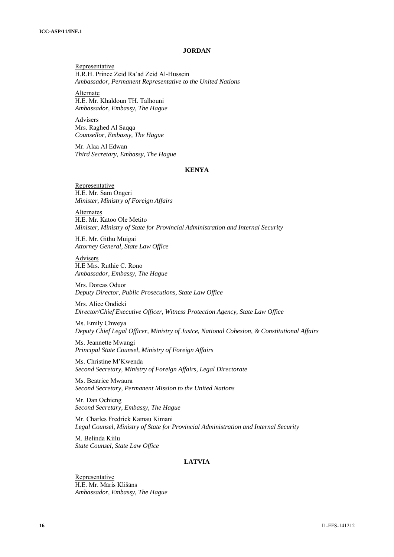### **JORDAN**

Representative H.R.H. Prince Zeid Ra'ad Zeid Al-Hussein *Ambassador, Permanent Representative to the United Nations* 

Alternate H.E. Mr. Khaldoun TH. Talhouni *Ambassador, Embassy, The Hague*

Advisers Mrs. Raghed Al Saqqa *Counsellor, Embassy, The Hague*

Mr. Alaa Al Edwan *Third Secretary, Embassy, The Hague*

### **KENYA**

Representative H.E. Mr. Sam Ongeri *Minister, Ministry of Foreign Affairs*

Alternates H.E. Mr. Katoo Ole Metito *Minister, Ministry of State for Provincial Administration and Internal Security* 

H.E. Mr. Githu Muigai *Attorney General, State Law Office* 

Advisers H.E Mrs. Ruthie C. Rono *Ambassador, Embassy, The Hague* 

Mrs. Dorcas Oduor *Deputy Director, Public Prosecutions, State Law Office*

Mrs. Alice Ondieki *Director/Chief Executive Officer, Witness Protection Agency, State Law Office*

Ms. Emily Chweya *Deputy Chief Legal Officer, Ministry of Justce, National Cohesion, & Constitutional Affairs* 

Ms. Jeannette Mwangi *Principal State Counsel, Ministry of Foreign Affairs* 

Ms. Christine M'Kwenda *Second Secretary, Ministry of Foreign Affairs, Legal Directorate* 

Ms. Beatrice Mwaura *Second Secretary, Permanent Mission to the United Nations* 

Mr. Dan Ochieng *Second Secretary, Embassy, The Hague* 

Mr. Charles Fredrick Kamau Kimani *Legal Counsel, Ministry of State for Provincial Administration and Internal Security* 

M. Belinda Kiilu *State Counsel, State Law Office*

# **LATVIA**

**Representative** H.E. Mr. Māris Klišāns *Ambassador, Embassy, The Hague*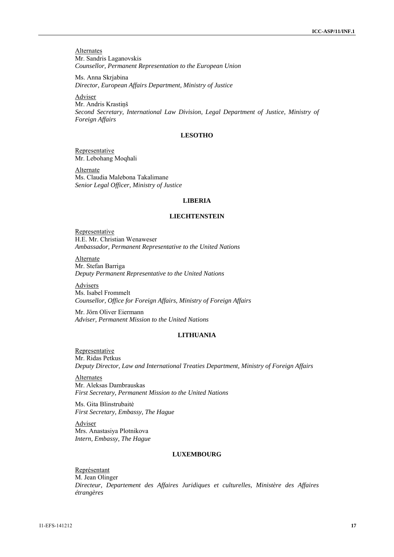**Alternates** Mr. Sandris Laganovskis *Counsellor, Permanent Representation to the European Union* 

Ms. Anna Skrjabina *Director, European Affairs Department, Ministry of Justice* 

Adviser

Mr. Andris Krastiņš *Second Secretary, International Law Division, Legal Department of Justice, Ministry of Foreign Affairs* 

# **LESOTHO**

Representative Mr. Lebohang Moqhali

Alternate Ms. Claudia Malebona Takalimane *Senior Legal Officer, Ministry of Justice*

### **LIBERIA**

### **LIECHTENSTEIN**

Representative H.E. Mr. Christian Wenaweser *Ambassador, Permanent Representative to the United Nations*

Alternate Mr. Stefan Barriga *Deputy Permanent Representative to the United Nations*

**Advisers** Ms. Isabel Frommelt *Counsellor, Office for Foreign Affairs, Ministry of Foreign Affairs*

Mr. Jörn Oliver Eiermann *Adviser, Permanent Mission to the United Nations*

### **LITHUANIA**

**Representative** Mr. Ridas Petkus *Deputy Director, Law and International Treaties Department, Ministry of Foreign Affairs* 

**Alternates** Mr. Aleksas Dambrauskas *First Secretary, Permanent Mission to the United Nations* 

Ms. Gita Blinstrubaitė *First Secretary, Embassy, The Hague*

Adviser Mrs. Anastasiya Plotnikova *Intern, Embassy, The Hague* 

# **LUXEMBOURG**

Représentant M. Jean Olinger *Directeur, Departement des Affaires Juridiques et culturelles, Ministère des Affaires étrangères*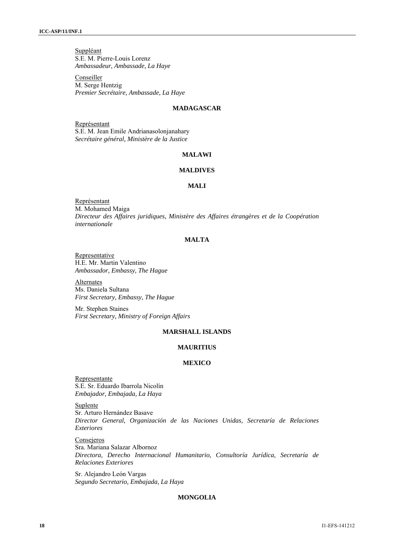Suppléant S.E. M. Pierre-Louis Lorenz *Ambassadeur, Ambassade, La Haye* 

Conseiller M. Serge Hentzig *Premier Secrétaire, Ambassade, La Haye* 

# **MADAGASCAR**

Représentant S.E. M. Jean Emile Andrianasolonjanahary *Secrétaire général, Ministère de la Justice* 

### **MALAWI**

# **MALDIVES**

# **MALI**

Représentant M. Mohamed Maiga *Directeur des Affaires juridiques, Ministère des Affaires étrangères et de la Coopération internationale* 

### **MALTA**

**Representative** H.E. Mr. Martin Valentino *Ambassador, Embassy, The Hague* 

Alternates Ms. Daniela Sultana *First Secretary, Embassy, The Hague* 

Mr. Stephen Staines *First Secretary, Ministry of Foreign Affairs* 

### **MARSHALL ISLANDS**

#### **MAURITIUS**

#### **MEXICO**

Representante S.E. Sr. Eduardo Ibarrola Nicolín *Embajador, Embajada, La Haya* 

**Suplente** 

Sr. Arturo Hernández Basave *Director General, Organización de las Naciones Unidas, Secretaría de Relaciones Exteriores* 

Consejeros Sra. Mariana Salazar Albornoz *Directora, Derecho Internacional Humanitario, Consultoría Jurídica, Secretaría de Relaciones Exteriores* 

Sr. Alejandro León Vargas *Segundo Secretario, Embajada, La Haya* 

# **MONGOLIA**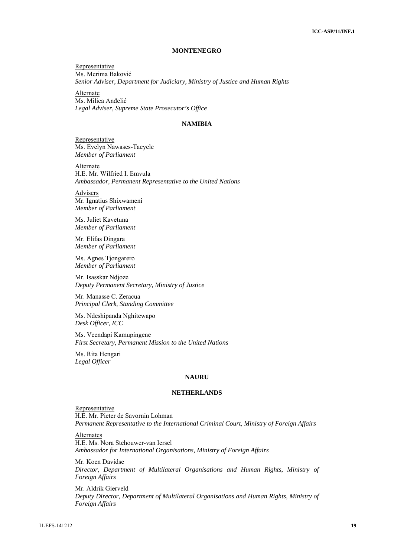### **MONTENEGRO**

Representative Ms. Merima Baković *Senior Adviser, Department for Judiciary, Ministry of Justice and Human Rights* 

Alternate Ms. Milica Anđelić *Legal Adviser, Supreme State Prosecutor's Office* 

### **NAMIBIA**

**Representative** Ms. Evelyn Nawases-Taeyele *Member of Parliament* 

**Alternate** H.E. Mr. Wilfried I. Emvula *Ambassador, Permanent Representative to the United Nations* 

**Advisers** Mr. Ignatius Shixwameni *Member of Parliament* 

Ms. Juliet Kavetuna *Member of Parliament* 

Mr. Elifas Dingara *Member of Parliament* 

Ms. Agnes Tjongarero *Member of Parliament* 

Mr. Isasskar Ndjoze *Deputy Permanent Secretary, Ministry of Justice* 

Mr. Manasse C. Zeracua *Principal Clerk, Standing Committee* 

Ms. Ndeshipanda Nghitewapo *Desk Officer, ICC* 

Ms. Veendapi Kamupingene *First Secretary, Permanent Mission to the United Nations* 

Ms. Rita Hengari *Legal Officer* 

#### **NAURU**

#### **NETHERLANDS**

Representative H.E. Mr. Pieter de Savornin Lohman *Permanent Representative to the International Criminal Court, Ministry of Foreign Affairs* 

**Alternates** H.E. Ms. Nora Stehouwer-van Iersel *Ambassador for International Organisations, Ministry of Foreign Affairs* 

Mr. Koen Davidse *Director, Department of Multilateral Organisations and Human Rights*, *Ministry of Foreign Affairs*

Mr. Aldrik Gierveld *Deputy Director, Department of Multilateral Organisations and Human Rights, Ministry of Foreign Affairs*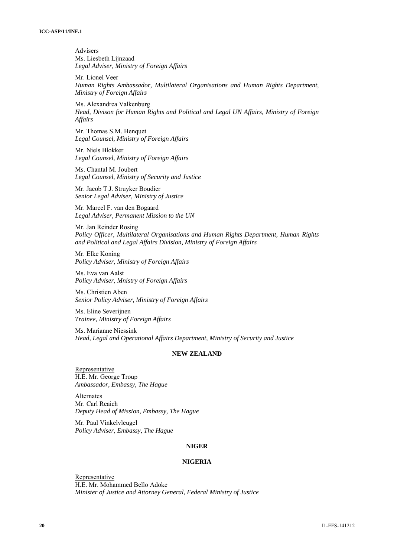**Advisers** Ms. Liesbeth Lijnzaad *Legal Adviser, Ministry of Foreign Affairs*

Mr. Lionel Veer *Human Rights Ambassador, Multilateral Organisations and Human Rights Department, Ministry of Foreign Affairs* 

Ms. Alexandrea Valkenburg *Head, Divison for Human Rights and Political and Legal UN Affairs, Ministry of Foreign Affairs* 

Mr. Thomas S.M. Henquet *Legal Counsel, Ministry of Foreign Affairs*

Mr. Niels Blokker *Legal Counsel, Ministry of Foreign Affairs*

Ms. Chantal M. Joubert *Legal Counsel, Ministry of Security and Justice*

Mr. Jacob T.J. Struyker Boudier *Senior Legal Adviser, Ministry of Justice* 

Mr. Marcel F. van den Bogaard *Legal Adviser, Permanent Mission to the UN*

Mr. Jan Reinder Rosing *Policy Officer, Multilateral Organisations and Human Rights Department, Human Rights and Political and Legal Affairs Division, Ministry of Foreign Affairs* 

Mr. Elke Koning *Policy Adviser, Ministry of Foreign Affairs*

Ms. Eva van Aalst *Policy Adviser, Mnistry of Foreign Affairs* 

Ms. Christien Aben *Senior Policy Adviser, Ministry of Foreign Affairs*

Ms. Eline Severijnen *Trainee, Ministry of Foreign Affairs*

Ms. Marianne Niessink *Head, Legal and Operational Affairs Department, Ministry of Security and Justice* 

# **NEW ZEALAND**

Representative H.E. Mr. George Troup *Ambassador, Embassy, The Hague* 

Alternates Mr. Carl Reaich *Deputy Head of Mission, Embassy, The Hague* 

Mr. Paul Vinkelvleugel *Policy Adviser, Embassy, The Hague* 

# **NIGER**

# **NIGERIA**

Representative H.E. Mr. Mohammed Bello Adoke *Minister of Justice and Attorney General, Federal Ministry of Justice*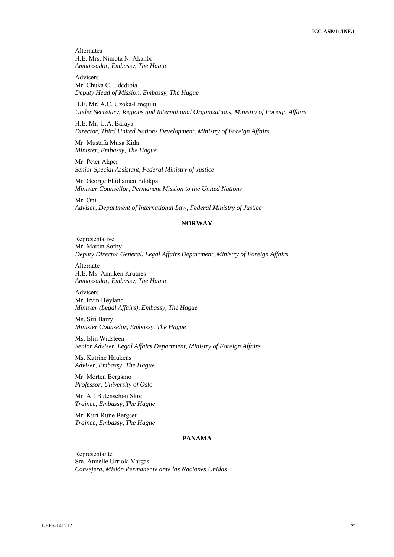**Alternates** H.E. Mrs. Nimota N. Akanbi *Ambassador, Embassy, The Hague* 

Advisers Mr. Chuka C. Udedibia *Deputy Head of Mission, Embassy, The Hague*

H.E. Mr. A.C. Uzoka-Emejulu *Under Secretary, Regions and International Organizations, Ministry of Foreign Affairs*

H.E. Mr. U.A. Baraya *Director, Third United Nations Development, Ministry of Foreign Affairs*

Mr. Mustafa Musa Kida *Minister, Embassy, The Hague*

Mr. Peter Akper *Senior Special Assistant, Federal Ministry of Justice* 

Mr. George Ehidiamen Edokpa *Minister Counsellor, Permanent Mission to the United Nations*

Mr. Oni *Adviser, Department of International Law, Federal Ministry of Justice*

# **NORWAY**

Representative Mr. Martin Sørby *Deputy Director General, Legal Affairs Department, Ministry of Foreign Affairs* 

Alternate H.E. Ms. Anniken Krutnes *Ambassador, Embassy, The Hague* 

Advisers Mr. Irvin Høyland *Minister (Legal Affairs), Embassy, The Hague*

Ms. Siri Barry *Minister Counselor, Embassy, The Hague*

Ms. Elin Widsteen *Senior Adviser, Legal Affairs Department, Ministry of Foreign Affairs* 

Ms. Katrine Haukens *Adviser, Embassy, The Hague* 

Mr. Morten Bergsmo *Professor, University of Oslo* 

Mr. Alf Butenschøn Skre *Trainee, Embassy, The Hague*

Mr. Kurt-Rune Bergset *Trainee, Embassy, The Hague* 

# **PANAMA**

Representante Sra. Annelle Urriola Vargas *Consejera, Misión Permanente ante las Naciones Unidas*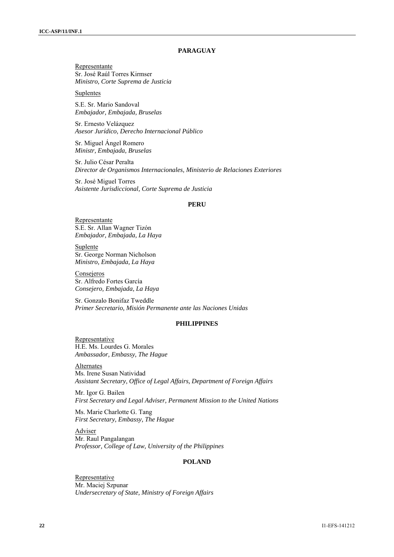# **PARAGUAY**

Representante Sr. José Raúl Torres Kirmser *Ministro, Corte Suprema de Justicia* 

Suplentes

S.E. Sr. Mario Sandoval *Embajador, Embajada, Bruselas* 

Sr. Ernesto Velázquez *Asesor Jurídico, Derecho Internacional Público* 

Sr. Miguel Ángel Romero *Ministr, Embajada, Bruselas* 

Sr. Julio César Peralta *Director de Organismos Internacionales, Ministerio de Relaciones Exteriores* 

Sr. José Miguel Torres *Asistente Jurisdiccional, Corte Suprema de Justicia* 

#### **PERU**

Representante S.E. Sr. Allan Wagner Tizón *Embajador, Embajada, La Haya* 

Suplente Sr. George Norman Nicholson *Ministro, Embajada, La Haya* 

Consejeros Sr. Alfredo Fortes García *Consejero, Embajada, La Haya* 

Sr. Gonzalo Bonifaz Tweddle *Primer Secretario, Misión Permanente ante las Naciones Unidas* 

# **PHILIPPINES**

Representative H.E. Ms. Lourdes G. Morales *Ambassador, Embassy, The Hague* 

Alternates Ms. Irene Susan Natividad *Assistant Secretary, Office of Legal Affairs, Department of Foreign Affairs* 

Mr. Igor G. Bailen *First Secretary and Legal Adviser, Permanent Mission to the United Nations* 

Ms. Marie Charlotte G. Tang *First Secretary, Embassy, The Hague* 

Adviser Mr. Raul Pangalangan *Professor, College of Law, University of the Philippines* 

### **POLAND**

Representative Mr. Maciej Szpunar *Undersecretary of State, Ministry of Foreign Affairs*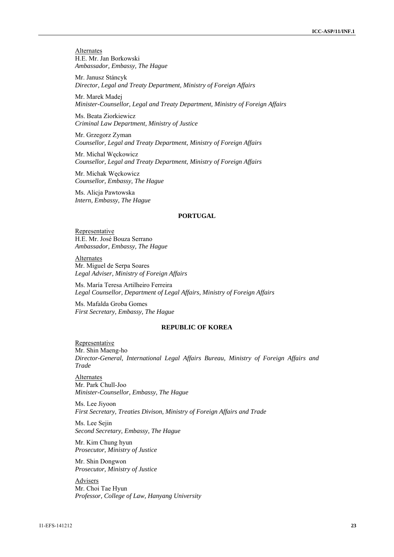**Alternates** H.E. Mr. Jan Borkowski *Ambassador, Embassy, The Hague* 

Mr. Janusz Stáncyk *Director, Legal and Treaty Department, Ministry of Foreign Affairs* 

Mr. Marek Madej *Minister-Counsellor, Legal and Treaty Department, Ministry of Foreign Affairs* 

Ms. Beata Ziorkiewicz *Criminal Law Department, Ministry of Justice* 

Mr. Grzegorz Zyman *Counsellor, Legal and Treaty Department, Ministry of Foreign Affairs* 

Mr. Michal Węckowicz *Counsellor, Legal and Treaty Department, Ministry of Foreign Affairs*

Mr. Michak Węckowicz *Counsellor, Embassy, The Hague*

Ms. Alicja Pawtowska *Intern, Embassy, The Hague* 

# **PORTUGAL**

Representative H.E. Mr. José Bouza Serrano *Ambassador, Embassy, The Hague* 

Alternates Mr. Miguel de Serpa Soares *Legal Adviser, Ministry of Foreign Affairs* 

Ms. María Teresa Artilheiro Ferreira *Legal Counsellor, Department of Legal Affairs, Ministry of Foreign Affairs* 

Ms. Mafalda Groba Gomes *First Secretary, Embassy, The Hague*

# **REPUBLIC OF KOREA**

**Representative** Mr. Shin Maeng-ho *Director-General, International Legal Affairs Bureau, Ministry of Foreign Affairs and Trade* 

Alternates Mr. Park Chull-Joo *Minister-Counsellor, Embassy, The Hague*

Ms. Lee Jiyoon *First Secretary, Treaties Divison, Ministry of Foreign Affairs and Trade*

Ms. Lee Sejin *Second Secretary, Embassy, The Hague*

Mr. Kim Chung hyun *Prosecutor, Ministry of Justice*

Mr. Shin Dongwon *Prosecutor, Ministry of Justice*

Advisers Mr. Choi Tae Hyun *Professor, College of Law, Hanyang University*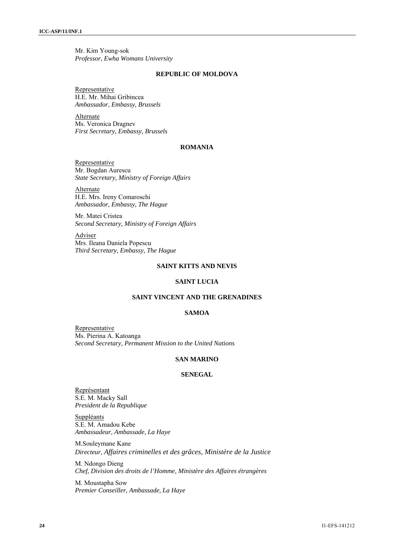Mr. Kim Young-sok *Professor, Ewha Womans University*

#### **REPUBLIC OF MOLDOVA**

Representative H.E. Mr. Mihai Gribincea *Ambassador, Embassy, Brussels* 

Alternate Ms. Veronica Dragnev *First Secretary, Embassy, Brussels*

# **ROMANIA**

Representative Mr. Bogdan Aurescu *State Secretary, Ministry of Foreign Affairs*

Alternate H.E. Mrs. Ireny Comaroschi *Ambassador, Embassy, The Hague*

Mr. Matei Cristea *Second Secretary, Ministry of Foreign Affairs*

Adviser Mrs. Ileana Daniela Popescu *Third Secretary, Embassy, The Hague* 

# **SAINT KITTS AND NEVIS**

# **SAINT LUCIA**

## **SAINT VINCENT AND THE GRENADINES**

### **SAMOA**

**Representative** Ms. Pierina A. Katoanga *Second Secretary, Permanent Mission to the United Nations* 

# **SAN MARINO**

### **SENEGAL**

Représentant S.E. M. Macky Sall *President de la Republique*

**Suppléants** S.E. M. Amadou Kebe *Ambassadeur, Ambassade, La Haye* 

M.Souleymane Kane *Directeur, Affaires criminelles et des grâces, Ministère de la Justice*

M. Ndongo Dieng *Chef, Division des droits de l'Homme, Ministère des Affaires étrangères* 

M. Moustapha Sow *Premier Conseiller, Ambassade, La Haye*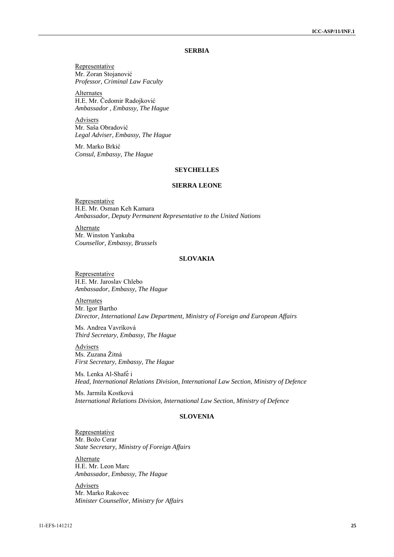### **SERBIA**

Representative Mr. Zoran Stojanović *Professor, Criminal Law Faculty*

**Alternates** H.E. Mr. Čedomir Radojković *Ambassador , Embassy, The Hague* 

Advisers Mr. Saša Obradović *Legal Adviser, Embassy, The Hague* 

Mr. Marko Brkić *Consul, Embassy, The Hague* 

# **SEYCHELLES**

# **SIERRA LEONE**

Representative H.E. Mr. Osman Keh Kamara *Ambassador, Deputy Permanent Representative to the United Nations*

Alternate Mr. Winston Yankuba *Counsellor, Embassy, Brussels* 

# **SLOVAKIA**

Representative H.E. Mr. Jaroslav Chlebo *Ambassador, Embassy, The Hague*

Alternates Mr. Igor Bartho *Director, International Law Department, Ministry of Foreign and European Affairs*

Ms. Andrea Vavríková *Third Secretary, Embassy, The Hague* 

Advisers Ms. Zuzana Žitná *First Secretary, Embassy, The Hague*

Ms. Lenka Al-Shafé i *Head, International Relations Division, International Law Section, Ministry of Defence*

Ms. Jarmila Kostková *International Relations Division, International Law Section, Ministry of Defence* 

# **SLOVENIA**

Representative Mr. Božo Cerar *State Secretary, Ministry of Foreign Affairs* 

Alternate H.E. Mr. Leon Marc *Ambassador, Embassy, The Hague* 

Advisers Mr. Marko Rakovec *Minister Counsellor, Ministry for Affairs*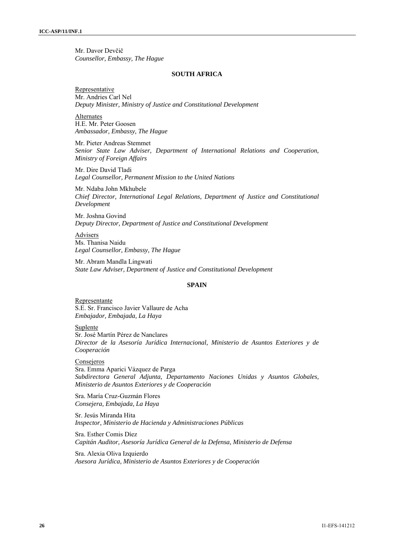Mr. Davor Devčič *Counsellor, Embassy, The Hague*

#### **SOUTH AFRICA**

**Representative** Mr. Andries Carl Nel *Deputy Minister, Ministry of Justice and Constitutional Development*

Alternates H.E. Mr. Peter Goosen *Ambassador, Embassy, The Hague*

Mr. Pieter Andreas Stemmet *Senior State Law Adviser, Department of International Relations and Cooperation, Ministry of Foreign Affairs* 

Mr. Dire David Tladi *Legal Counsellor, Permanent Mission to the United Nations* 

Mr. Ndaba John Mkhubele *Chief Director, International Legal Relations, Department of Justice and Constitutional Development*

Mr. Joshna Govind *Deputy Director, Department of Justice and Constitutional Development*

Advisers Ms. Thanisa Naidu *Legal Counsellor, Embassy, The Hague* 

Mr. Abram Mandla Lingwati *State Law Adviser, Department of Justice and Constitutional Development*

### **SPAIN**

Representante S.E. Sr. Francisco Javier Vallaure de Acha *Embajador, Embajada, La Haya* 

Suplente

Sr. José Martín Pérez de Nanclares *Director de la Asesoría Jurídica Internacional, Ministerio de Asuntos Exteriores y de Cooperación* 

Consejeros Sra. Emma Aparici Vázquez de Parga *Subdirectora General Adjunta, Departamento Naciones Unidas y Asuntos Globales, Ministerio de Asuntos Exteriores y de Cooperación* 

Sra. María Cruz-Guzmán Flores *Consejera, Embajada, La Haya* 

Sr. Jesús Miranda Hita *Inspector, Ministerio de Hacienda y Administraciones Públicas* 

Sra. Esther Comis Díez *Capitán Auditor, Asesoría Jurídica General de la Defensa, Ministerio de Defensa* 

Sra. Alexia Oliva Izquierdo *Asesora Jurídica, Ministerio de Asuntos Exteriores y de Cooperación*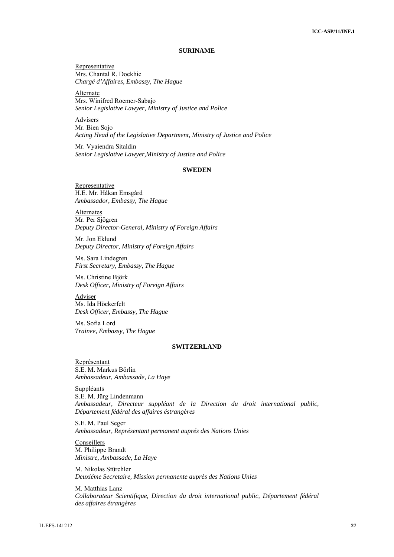### **SURINAME**

Representative Mrs. Chantal R. Doekhie *Chargé d'Affaires, Embassy, The Hague* 

Alternate Mrs. Winifred Roemer-Sabajo *Senior Legislative Lawyer, Ministry of Justice and Police* 

Advisers Mr. Bien Sojo *Acting Head of the Legislative Department, Ministry of Justice and Police* 

Mr. Vyaiendra Sitaldin *Senior Legislative Lawyer,Ministry of Justice and Police* 

# **SWEDEN**

Representative H.E. Mr. Håkan Emsgård *Ambassador, Embassy, The Hague* 

Alternates Mr. Per Sjögren *Deputy Director-General, Ministry of Foreign Affairs* 

Mr. Jon Eklund *Deputy Director, Ministry of Foreign Affairs* 

Ms. Sara Lindegren *First Secretary, Embassy, The Hague* 

Ms. Christine Björk *Desk Officer, Ministry of Foreign Affairs* 

Adviser Ms. Ida Höckerfelt *Desk Officer, Embassy, The Hague* 

Ms. Sofia Lord *Trainee, Embassy, The Hague* 

# **SWITZERLAND**

Représentant S.E. M. Markus Börlin *Ambassadeur, Ambassade, La Haye* 

Suppléants S.E. M. Jürg Lindenmann *Ambassadeur, Directeur suppléant de la Direction du droit international public, Département fédéral des affaires éstrangères* 

S.E. M. Paul Seger *Ambassadeur, Représentant permanent auprés des Nations Unies* 

Conseillers M. Philippe Brandt *Ministre, Ambassade, La Haye* 

M. Nikolas Stürchler *Deuxiéme Secretaire, Mission permanente auprès des Nations Unies* 

M. Matthias Lanz *Collaborateur Scientifique, Direction du droit international public, Département fédéral des affaires étrangères*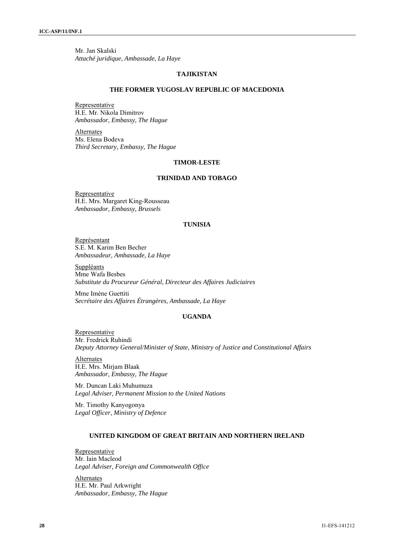Mr. Jan Skalski *Attaché juridique, Ambassade, La Haye*

#### **TAJIKISTAN**

#### **THE FORMER YUGOSLAV REPUBLIC OF MACEDONIA**

Representative H.E. Mr. Nikola Dimitrov *Ambassador, Embassy, The Hague* 

Alternates Ms. Elena Bodeva *Third Secretary, Embassy, The Hague* 

# **TIMOR-LESTE**

# **TRINIDAD AND TOBAGO**

Representative H.E. Mrs. Margaret King-Rousseau *Ambassador, Embassy, Brussels* 

## **TUNISIA**

Représentant S.E. M. Karim Ben Becher *Ambassadeur, Ambassade, La Haye* 

Suppléants Mme Wafa Besbes *Substitute du Procureur Général, Directeur des Affaires Judiciaires* 

Mme Imène Guettiti *Secrétaire des Affaires Étrangères, Ambassade, La Haye* 

# **UGANDA**

Representative Mr. Fredrick Ruhindi *Deputy Attorney General/Minister of State, Ministry of Justice and Constitutional Affairs* 

Alternates H.E. Mrs. Mirjam Blaak *Ambassador, Embassy, The Hague* 

Mr. Duncan Laki Muhumuza *Legal Adviser, Permanent Mission to the United Nations* 

Mr. Timothy Kanyogonya *Legal Officer, Ministry of Defence* 

# **UNITED KINGDOM OF GREAT BRITAIN AND NORTHERN IRELAND**

Representative Mr. Iain Macleod *Legal Adviser, Foreign and Commonwealth Office* 

Alternates H.E. Mr. Paul Arkwright *Ambassador, Embassy, The Hague*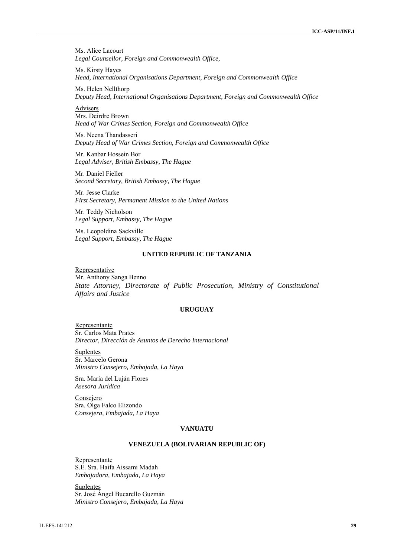Ms. Alice Lacourt *Legal Counsellor, Foreign and Commonwealth Office,* 

Ms. Kirsty Hayes *Head, International Organisations Department, Foreign and Commonwealth Office* 

Ms. Helen Nellthorp *Deputy Head, International Organisations Department, Foreign and Commonwealth Office* 

Advisers Mrs. Deirdre Brown *Head of War Crimes Section, Foreign and Commonwealth Office* 

Ms. Neena Thandasseri *Deputy Head of War Crimes Section, Foreign and Commonwealth Office* 

Mr. Kanbar Hossein Bor *Legal Adviser, British Embassy, The Hague* 

Mr. Daniel Fieller *Second Secretary, British Embassy, The Hague* 

Mr. Jesse Clarke *First Secretary, Permanent Mission to the United Nations* 

Mr. Teddy Nicholson *Legal Support, Embassy, The Hague* 

Ms. Leopoldina Sackville *Legal Support, Embassy, The Hague* 

# **UNITED REPUBLIC OF TANZANIA**

Representative Mr. Anthony Sanga Benno *State Attorney, Directorate of Public Prosecution, Ministry of Constitutional Affairs and Justice* 

# **URUGUAY**

Representante Sr. Carlos Mata Prates *Director, Dirección de Asuntos de Derecho Internacional* 

Suplentes Sr. Marcelo Gerona *Ministro Consejero, Embajada, La Haya* 

Sra. María del Luján Flores *Asesora Jurídica*

**Consejero** Sra. Olga Falco Elizondo *Consejera, Embajada, La Haya* 

#### **VANUATU**

# **VENEZUELA (BOLIVARIAN REPUBLIC OF)**

Representante S.E. Sra. Haifa Aissami Madah *Embajadora, Embajada, La Haya* 

Suplentes Sr. José Ángel Bucarello Guzmán *Ministro Consejero, Embajada, La Haya*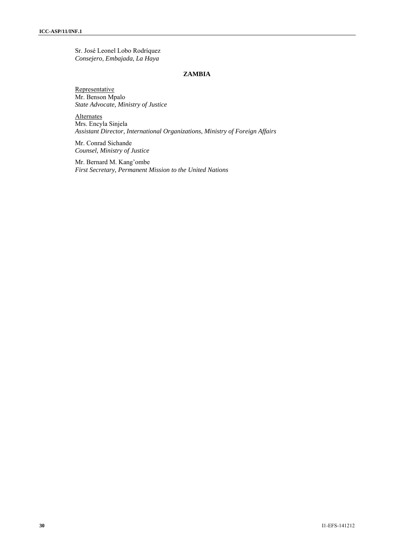Sr. José Leonel Lobo Rodríquez *Consejero, Embajada, La Haya*

### **ZAMBIA**

Representative Mr. Benson Mpalo *State Advocate, Ministry of Justice* 

**Alternates** Mrs. Encyla Sinjela *Assistant Director, International Organizations, Ministry of Foreign Affairs* 

Mr. Conrad Sichande *Counsel, Ministry of Justice*

Mr. Bernard M. Kang'ombe *First Secretary, Permanent Mission to the United Nations*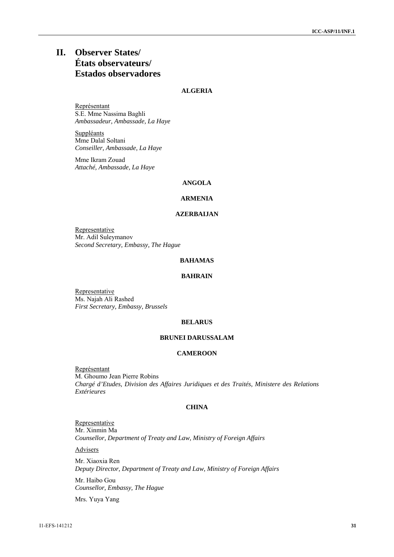# **II. Observer States/ États observateurs/ Estados observadores**

# **ALGERIA**

Représentant S.E. Mme Nassima Baghli *Ambassadeur, Ambassade, La Haye* 

**Suppléants** Mme Dalal Soltani *Conseiller, Ambassade, La Haye* 

Mme Ikram Zouad *Attaché, Ambassade, La Haye* 

# **ANGOLA**

# **ARMENIA**

# **AZERBAIJAN**

Representative Mr. Adil Suleymanov *Second Secretary, Embassy, The Hague* 

# **BAHAMAS**

# **BAHRAIN**

Representative Ms. Najah Ali Rashed *First Secretary, Embassy, Brussels*

### **BELARUS**

# **BRUNEI DARUSSALAM**

# **CAMEROON**

Représentant M. Ghoumo Jean Pierre Robins *Chargé d'Etudes, Division des Affaires Juridiques et des Traités, Ministere des Relations Extérieures* 

# **CHINA**

**Representative** Mr. Xinmin Ma *Counsellor, Department of Treaty and Law, Ministry of Foreign Affairs*

Advisers

Mr. Xiaoxia Ren *Deputy Director, Department of Treaty and Law, Ministry of Foreign Affairs*

Mr. Haibo Gou *Counsellor, Embassy, The Hague*

Mrs. Yuya Yang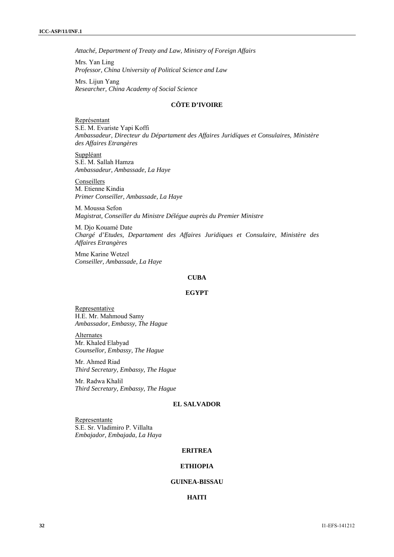*Attaché, Department of Treaty and Law, Ministry of Foreign Affairs* 

Mrs. Yan Ling *Professor, China University of Political Science and Law*

Mrs. Lijun Yang *Researcher, China Academy of Social Science*

# **CÔTE D'IVOIRE**

Représentant S.E. M. Evariste Yapi Koffi *Ambassadeur, Directeur du Départament des Affaires Juridíques et Consulaires, Ministère des Affaires Etrangères* 

Suppléant S.E. M. Sallah Hamza *Ambassadeur, Ambassade, La Haye*

Conseillers M. Etienne Kindia *Primer Conseiller, Ambassade, La Haye*

M. Moussa Sefon *Magistrat, Conseiller du Ministre Délégue aupr*è*s du Premier Ministre*

M. Djo Kouamé Date *Chargé d'Etudes, Departament des Affaires Juridiques et Consulaire, Ministère des Affaires Etrangères* 

Mme Karine Wetzel *Conseiller, Ambassade, La Haye*

## **CUBA**

# **EGYPT**

Representative H.E. Mr. Mahmoud Samy *Ambassador, Embassy, The Hague* 

Alternates Mr. Khaled Elabyad *Counsellor, Embassy, The Hague* 

Mr. Ahmed Riad *Third Secretary, Embassy, The Hague* 

Mr. Radwa Khalil *Third Secretary, Embassy, The Hague* 

# **EL SALVADOR**

Representante S.E. Sr. Vladimiro P. Villalta *Embajador, Embajada, La Haya* 

#### **ERITREA**

# **ETHIOPIA**

# **GUINEA-BISSAU**

## **HAITI**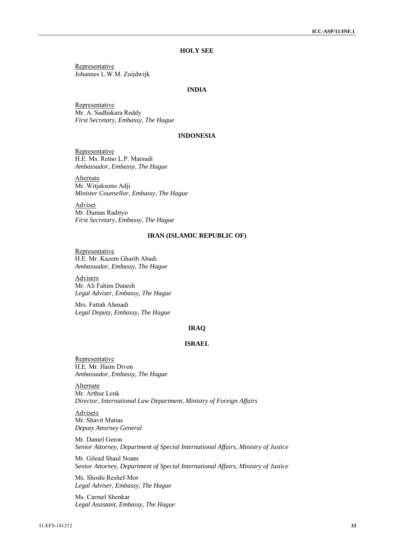# **HOLY SEE**

Representative Johannes L.W.M. Zuijdwijk

# **INDIA**

Representative Mr. A. Sudhakara Reddy *First Secretary, Embassy, The Hague*

### **INDONESIA**

Representative H.E. Ms. Retno L.P. Marsudi *Ambassador, Embassy, The Hague* 

Alternate Mr. Witjaksono Adji *Minister Counsellor, Embassy, The Hague* 

Adviser Mr. Dumas Radityo *First Secretary, Embassy, The Hague* 

#### **IRAN (ISLAMIC REPUBLIC OF)**

**Representative** H.E. Mr. Kazem Gharib Abadi *Ambassador, Embassy, The Hague* 

Advisers Mr. Ali Fahim Danesh *Legal Adviser, Embassy, The Hague* 

Mrs. Fattah Ahmadi *Legal Deputy, Embassy, The Hague* 

### **IRAQ**

# **ISRAEL**

Representative H.E. Mr. Haim Divon *Ambassador, Embassy, The Hague* 

**Alternate** Mr. Arthur Lenk *Director, International Law Department, Ministry of Foreign Affairs* 

Advisers Mr. Shavit Matias *Deputy Attorney General* 

Mr. Daniel Geron *Senior Attorney, Department of Special International Affairs, Ministry of Justice*

Mr. Gilead Shaul Noam *Senior Attorney, Department of Special International Affairs, Ministry of Justice* 

Ms. Shoshi Reshef-Mor *Legal Adviser, Embassy, The Hague* 

Ms. Carmel Shenkar *Legal Assistant, Embassy, The Hague*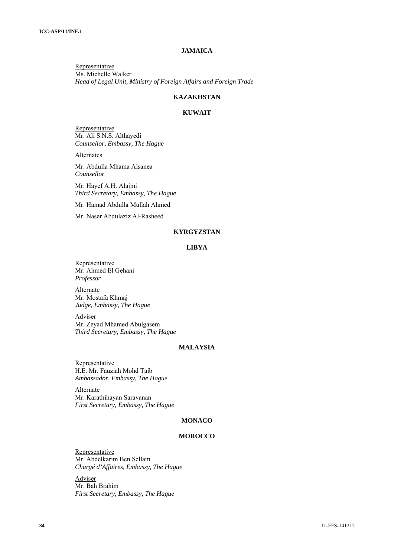# **JAMAICA**

Representative Ms. Michelle Walker *Head of Legal Unit, Ministry of Foreign Affairs and Foreign Trade* 

# **KAZAKHSTAN**

# **KUWAIT**

Representative Mr. Ali S.N.S. Althayedi *Counsellor, Embassy, The Hague* 

**Alternates** 

Mr. Abdulla Mhama Alsanea *Counsellor*

Mr. Hayef A.H. Alajmi *Third Secretary, Embassy, The Hague*

Mr. Hamad Abdulla Mullah Ahmed

Mr. Naser Abdulaziz Al-Rasheed

# **KYRGYZSTAN**

# **LIBYA**

**Representative** Mr. Ahmed El Gehani *Professor*

Alternate Mr. Mostafa Khmaj *Judge, Embassy, The Hague*

Adviser Mr. Zeyad Mhamed Abulgasem *Third Secretary, Embassy, The Hague*

# **MALAYSIA**

**Representative** H.E. Mr. Fauziah Mohd Taib *Ambassador, Embassy, The Hague* 

**Alternate** Mr. Karathihayan Saravanan *First Secretary, Embassy, The Hague* 

# **MONACO**

#### **MOROCCO**

Representative Mr. Abdelkarim Ben Sellam *Chargé d'Affaires, Embassy, The Hague*

Adviser Mr. Bah Brahim *First Secretary, Embassy, The Hague*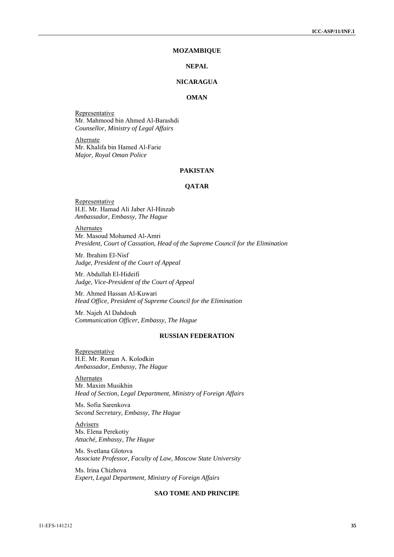#### **MOZAMBIQUE**

# **NEPAL**

### **NICARAGUA**

# **OMAN**

Representative Mr. Mahmood bin Ahmed Al-Barashdi *Counsellor, Ministry of Legal Affairs* 

**Alternate** Mr. Khalifa bin Hamed Al-Farie *Major, Royal Oman Police* 

# **PAKISTAN**

# **QATAR**

**Representative** H.E. Mr. Hamad Ali Jaber Al-Hinzab *Ambassador, Embassy, The Hague* 

Alternates Mr. Masoud Mohamed Al-Amri *President, Court of Cassation, Head of the Supreme Council for the Elimination* 

Mr. Ibrahim El-Nisf *Judge, President of the Court of Appeal* 

Mr. Abdullah El-Hideifi *Judge, Vice-President of the Court of Appeal* 

Mr. Ahmed Hassan Al-Kuwari *Head Office, President of Supreme Council for the Elimination* 

Mr. Najeh Al Dahdouh *Communication Officer, Embassy, The Hague*

#### **RUSSIAN FEDERATION**

Representative H.E. Mr. Roman A. Kolodkin *Ambassador, Embassy, The Hague* 

**Alternates** Mr. Maxim Musikhin *Head of Section, Legal Department, Ministry of Foreign Affairs* 

Ms. Sofia Sarenkova *Second Secretary, Embassy, The Hague* 

**Advisers** Ms. Elena Perekotiy *Attaché, Embassy, The Hague* 

Ms. Svetlana Glotova *Associate Professor, Faculty of Law, Moscow State University* 

Ms. Irina Chizhova *Expert, Legal Department, Ministry of Foreign Affairs* 

#### **SAO TOME AND PRINCIPE**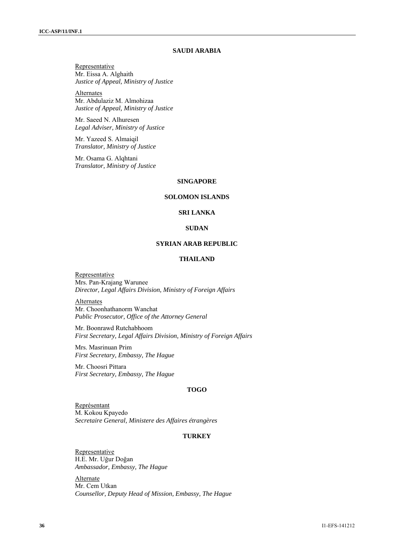# **SAUDI ARABIA**

Representative Mr. Eissa A. Alghaith *Justice of Appeal, Ministry of Justice* 

Alternates Mr. Abdulaziz M. Almohizaa *Justice of Appeal, Ministry of Justice* 

Mr. Saeed N. Alhuresen *Legal Adviser, Ministry of Justice* 

Mr. Yazeed S. Almaiqil *Translator, Ministry of Justice* 

Mr. Osama G. Alqhtani *Translator, Ministry of Justice* 

#### **SINGAPORE**

# **SOLOMON ISLANDS**

### **SRI LANKA**

#### **SUDAN**

# **SYRIAN ARAB REPUBLIC**

# **THAILAND**

Representative Mrs. Pan-Krajang Warunee *Director, Legal Affairs Division, Ministry of Foreign Affairs*

Alternates Mr. Choonhathanorm Wanchat *Public Prosecutor, Office of the Attorney General*

Mr. Boonrawd Rutchabhoom *First Secretary, Legal Affairs Division, Ministry of Foreign Affairs* 

Mrs. Masrinuan Prim *First Secretary, Embassy, The Hague*

Mr. Choosri Pittara *First Secretary, Embassy, The Hague*

#### **TOGO**

Représentant M. Kokou Kpayedo *Secretaire General, Ministere des Affaires étrangères* 

#### **TURKEY**

Representative H.E. Mr. Uğur Doğan *Ambassador, Embassy, The Hague* 

Alternate Mr. Cem Utkan *Counsellor, Deputy Head of Mission, Embassy, The Hague*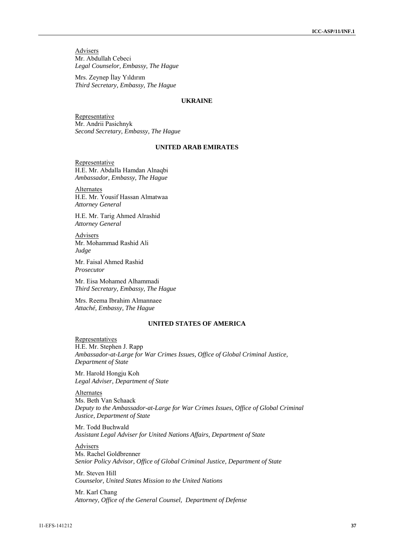**Advisers** Mr. Abdullah Cebeci *Legal Counselor, Embassy, The Hague* 

Mrs. Zeynep İlay Yıldırım *Third Secretary, Embassy, The Hague* 

### **UKRAINE**

**Representative** Mr. Andrii Pasichnyk *Second Secretary, Embassy, The Hague*

### **UNITED ARAB EMIRATES**

Representative H.E. Mr. Abdalla Hamdan Alnaqbi *Ambassador, Embassy, The Hague* 

Alternates H.E. Mr. Yousif Hassan Almatwaa *Attorney General*

H.E. Mr. Tarig Ahmed Alrashid *Attorney General* 

Advisers Mr. Mohammad Rashid Ali *Judge*

Mr. Faisal Ahmed Rashid *Prosecutor*

Mr. Eisa Mohamed Alhammadi *Third Secretary, Embassy, The Hague* 

Mrs. Reema Ibrahim Almannaee *Attaché, Embassy, The Hague* 

# **UNITED STATES OF AMERICA**

Representatives H.E. Mr. Stephen J. Rapp *Ambassador-at-Large for War Crimes Issues, Office of Global Criminal Justice, Department of State* 

Mr. Harold Hongju Koh *Legal Adviser, Department of State* 

Alternates Ms. Beth Van Schaack *Deputy to the Ambassador-at-Large for War Crimes Issues, Office of Global Criminal Justice, Department of State* 

Mr. Todd Buchwald *Assistant Legal Adviser for United Nations Affairs, Department of State* 

Advisers Ms. Rachel Goldbrenner *Senior Policy Advisor, Office of Global Criminal Justice, Department of State* 

Mr. Steven Hill *Counselor, United States Mission to the United Nations* 

Mr. Karl Chang *Attorney, Office of the General Counsel, Department of Defense*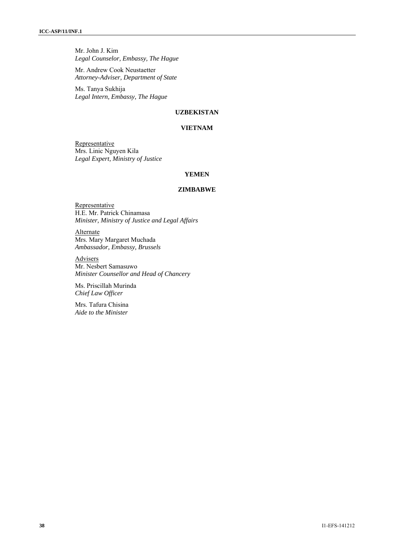Mr. John J. Kim *Legal Counselor, Embassy, The Hague* 

Mr. Andrew Cook Neustaetter *Attorney-Adviser, Department of State*

Ms. Tanya Sukhija *Legal Intern, Embassy, The Hague* 

# **UZBEKISTAN**

# **VIETNAM**

Representative Mrs. Linic Nguyen Kila *Legal Expert, Ministry of Justice*

# **YEMEN**

### **ZIMBABWE**

**Representative** H.E. Mr. Patrick Chinamasa *Minister, Ministry of Justice and Legal Affairs* 

**Alternate** Mrs. Mary Margaret Muchada *Ambassador, Embassy, Brussels* 

Advisers Mr. Nesbert Samasuwo *Minister Counsellor and Head of Chancery*

Ms. Priscillah Murinda *Chief Law Officer* 

Mrs. Tafura Chisina *Aide to the Minister*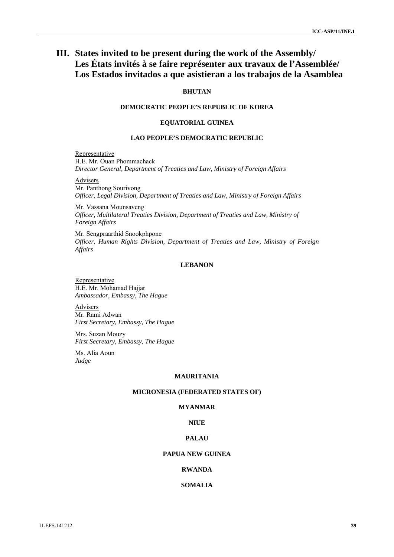# **III. States invited to be present during the work of the Assembly/ Les États invités à se faire représenter aux travaux de l'Assemblée/ Los Estados invitados a que asistieran a los trabajos de la Asamblea**

# **BHUTAN**

# **DEMOCRATIC PEOPLE'S REPUBLIC OF KOREA**

### **EQUATORIAL GUINEA**

# **LAO PEOPLE'S DEMOCRATIC REPUBLIC**

Representative H.E. Mr. Ouan Phommachack *Director General, Department of Treaties and Law, Ministry of Foreign Affairs* 

Advisers

Mr. Panthong Sourivong *Officer, Legal Division, Department of Treaties and Law, Ministry of Foreign Affairs*

Mr. Vassana Mounsaveng *Officer, Multilateral Treaties Division, Department of Treaties and Law, Ministry of Foreign Affairs*

Mr. Sengpraarthid Snookphpone *Officer, Human Rights Division, Department of Treaties and Law, Ministry of Foreign Affairs*

# **LEBANON**

Representative H.E. Mr. Mohamad Hajjar *Ambassador, Embassy, The Hague*

**Advisers** Mr. Rami Adwan *First Secretary, Embassy, The Hague* 

Mrs. Suzan Mouzy *First Secretary, Embassy, The Hague*

Ms. Alia Aoun *Judge* 

### **MAURITANIA**

### **MICRONESIA (FEDERATED STATES OF)**

# **MYANMAR**

# **NIUE**

# **PALAU**

# **PAPUA NEW GUINEA**

### **RWANDA**

### **SOMALIA**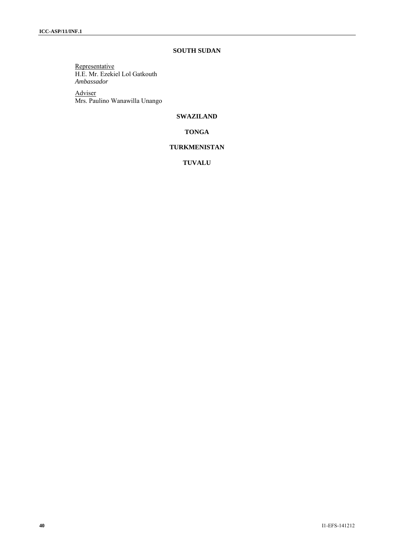# **SOUTH SUDAN**

Representative H.E. Mr. Ezekiel Lol Gatkouth *Ambassador*

Adviser Mrs. Paulino Wanawilla Unango

# **SWAZILAND**

**TONGA** 

# **TURKMENISTAN**

**TUVALU**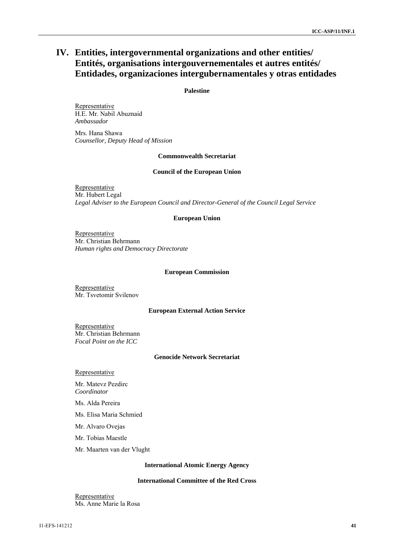# **IV. Entities, intergovernmental organizations and other entities/ Entités, organisations intergouvernementales et autres entités/ Entidades, organizaciones intergubernamentales y otras entidades**

## **Palestine**

**Representative** H.E. Mr. Nabil Abuznaid *Ambassador* 

Mrs. Hana Shawa *Counsellor, Deputy Head of Mission* 

#### **Commonwealth Secretariat**

#### **Council of the European Union**

Representative Mr. Hubert Legal *Legal Adviser to the European Council and Director-General of the Council Legal Service* 

#### **European Union**

Representative Mr. Christian Behrmann *Human rights and Democracy Directorate*

#### **European Commission**

Representative Mr. Tsvetomir Svilenov

### **European External Action Service**

Representative Mr. Christian Behrmann *Focal Point on the ICC* 

### **Genocide Network Secretariat**

**Representative** 

Mr. Matevz Pezdirc *Coordinator* 

Ms. Alda Pereira

Ms. Elisa Maria Schmied

Mr. Alvaro Ovejas

Mr. Tobias Maestle

Mr. Maarten van der Vlught

#### **International Atomic Energy Agency**

# **International Committee of the Red Cross**

Representative Ms. Anne Marie la Rosa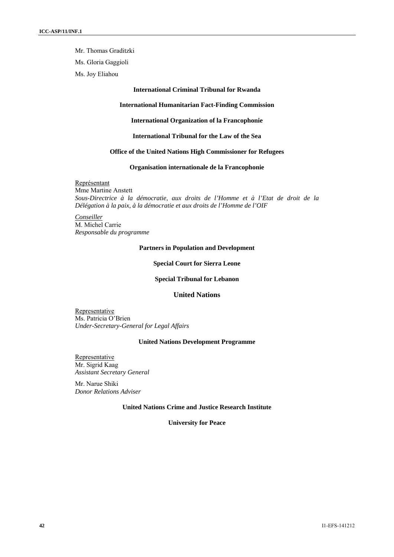Mr. Thomas Graditzki

Ms. Gloria Gaggioli

Ms. Joy Eliahou

#### **International Criminal Tribunal for Rwanda**

# **International Humanitarian Fact-Finding Commission**

**International Organization of la Francophonie** 

**International Tribunal for the Law of the Sea** 

# **Office of the United Nations High Commissioner for Refugees**

**Organisation internationale de la Francophonie** 

Représentant Mme Martine Anstett *Sous-Directrice à la démocratie, aux droits de l'Homme et à l'Etat de droit de la Délégation à la paix, à la démocratie et aux droits de l'Homme de l'OIF* 

*Conseiller* M. Michel Carrie *Responsable du programme* 

#### **Partners in Population and Development**

**Special Court for Sierra Leone** 

**Special Tribunal for Lebanon** 

# **United Nations**

Representative Ms. Patricia O'Brien *Under-Secretary-General for Legal Affairs*

#### **United Nations Development Programme**

**Representative** Mr. Sigrid Kaag *Assistant Secretary General*

Mr. Narue Shiki *Donor Relations Adviser*

### **United Nations Crime and Justice Research Institute**

**University for Peace**